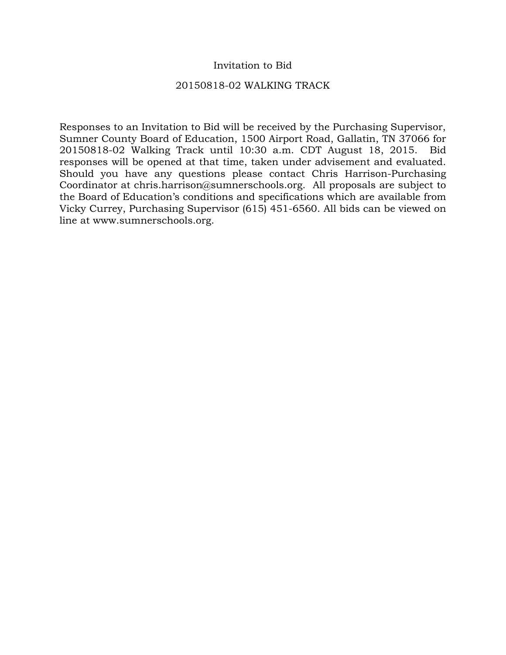## Invitation to Bid

## 20150818-02 WALKING TRACK

Responses to an Invitation to Bid will be received by the Purchasing Supervisor, Sumner County Board of Education, 1500 Airport Road, Gallatin, TN 37066 for 20150818-02 Walking Track until 10:30 a.m. CDT August 18, 2015. Bid responses will be opened at that time, taken under advisement and evaluated. Should you have any questions please contact Chris Harrison-Purchasing Coordinator at chris.harrison@sumnerschools.org. All proposals are subject to the Board of Education's conditions and specifications which are available from Vicky Currey, Purchasing Supervisor (615) 451-6560. All bids can be viewed on line at www.sumnerschools.org.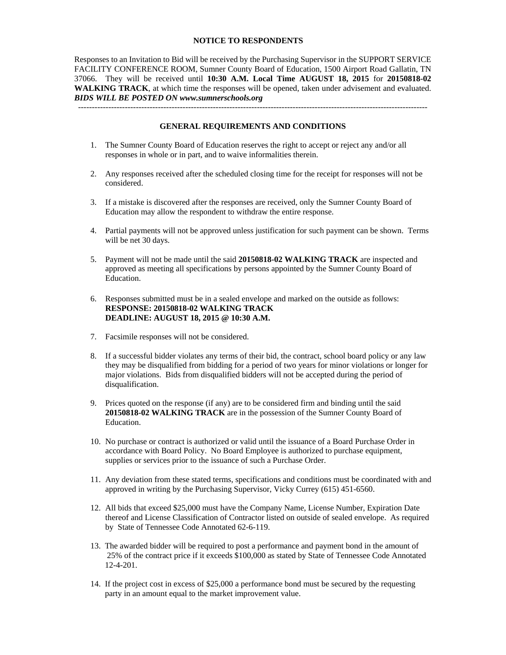### **NOTICE TO RESPONDENTS**

Responses to an Invitation to Bid will be received by the Purchasing Supervisor in the SUPPORT SERVICE FACILITY CONFERENCE ROOM, Sumner County Board of Education, 1500 Airport Road Gallatin, TN 37066. They will be received until **10:30 A.M. Local Time AUGUST 18, 2015** for **20150818-02 WALKING TRACK**, at which time the responses will be opened, taken under advisement and evaluated. *BIDS WILL BE POSTED ON www.sumnerschools.org* 

#### **GENERAL REQUIREMENTS AND CONDITIONS**

-------------------------------------------------------------------------------------------------------------------------------

- 1. The Sumner County Board of Education reserves the right to accept or reject any and/or all responses in whole or in part, and to waive informalities therein.
- 2. Any responses received after the scheduled closing time for the receipt for responses will not be considered.
- 3. If a mistake is discovered after the responses are received, only the Sumner County Board of Education may allow the respondent to withdraw the entire response.
- 4. Partial payments will not be approved unless justification for such payment can be shown. Terms will be net 30 days.
- 5. Payment will not be made until the said **20150818-02 WALKING TRACK** are inspected and approved as meeting all specifications by persons appointed by the Sumner County Board of Education.
- 6. Responses submitted must be in a sealed envelope and marked on the outside as follows: **RESPONSE: 20150818-02 WALKING TRACK DEADLINE: AUGUST 18, 2015 @ 10:30 A.M.**
- 7. Facsimile responses will not be considered.
- 8. If a successful bidder violates any terms of their bid, the contract, school board policy or any law they may be disqualified from bidding for a period of two years for minor violations or longer for major violations. Bids from disqualified bidders will not be accepted during the period of disqualification.
- 9. Prices quoted on the response (if any) are to be considered firm and binding until the said **20150818-02 WALKING TRACK** are in the possession of the Sumner County Board of Education.
- 10. No purchase or contract is authorized or valid until the issuance of a Board Purchase Order in accordance with Board Policy. No Board Employee is authorized to purchase equipment, supplies or services prior to the issuance of such a Purchase Order.
- 11. Any deviation from these stated terms, specifications and conditions must be coordinated with and approved in writing by the Purchasing Supervisor, Vicky Currey (615) 451-6560.
- 12. All bids that exceed \$25,000 must have the Company Name, License Number, Expiration Date thereof and License Classification of Contractor listed on outside of sealed envelope. As required by State of Tennessee Code Annotated 62-6-119.
- 13. The awarded bidder will be required to post a performance and payment bond in the amount of 25% of the contract price if it exceeds \$100,000 as stated by State of Tennessee Code Annotated 12-4-201.
- 14. If the project cost in excess of \$25,000 a performance bond must be secured by the requesting party in an amount equal to the market improvement value.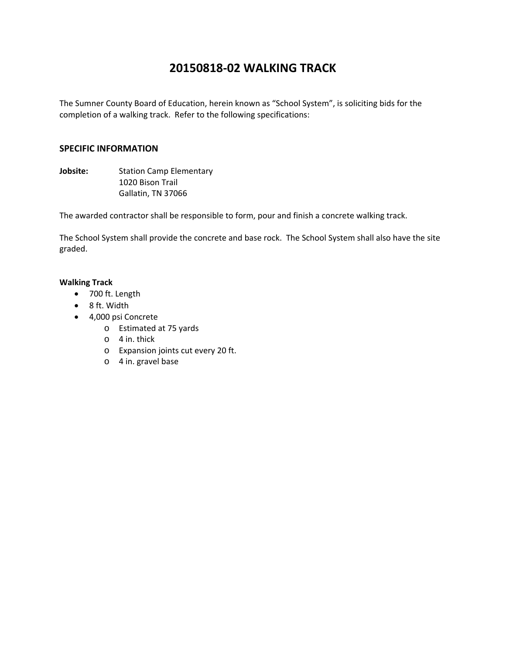# **20150818‐02 WALKING TRACK**

The Sumner County Board of Education, herein known as "School System", is soliciting bids for the completion of a walking track. Refer to the following specifications:

### **SPECIFIC INFORMATION**

**Jobsite:** Station Camp Elementary 1020 Bison Trail Gallatin, TN 37066

The awarded contractor shall be responsible to form, pour and finish a concrete walking track.

The School System shall provide the concrete and base rock. The School System shall also have the site graded.

### **Walking Track**

- 700 ft. Length
- 8 ft. Width
- 4,000 psi Concrete
	- o Estimated at 75 yards
	- o 4 in. thick
	- o Expansion joints cut every 20 ft.
	- o 4 in. gravel base